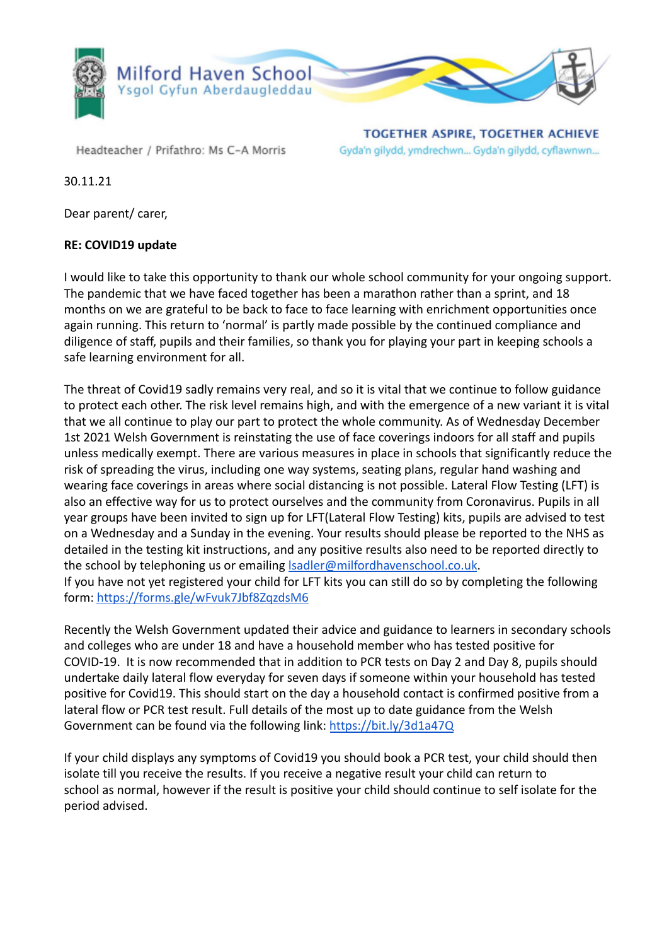

Headteacher / Prifathro: Ms C-A Morris

**TOGETHER ASPIRE, TOGETHER ACHIEVE** Gyda'n gilydd, ymdrechwn... Gyda'n gilydd, cyflawnwn...

30.11.21

Dear parent/ carer,

## **RE: COVID19 update**

I would like to take this opportunity to thank our whole school community for your ongoing support. The pandemic that we have faced together has been a marathon rather than a sprint, and 18 months on we are grateful to be back to face to face learning with enrichment opportunities once again running. This return to 'normal' is partly made possible by the continued compliance and diligence of staff, pupils and their families, so thank you for playing your part in keeping schools a safe learning environment for all.

The threat of Covid19 sadly remains very real, and so it is vital that we continue to follow guidance to protect each other. The risk level remains high, and with the emergence of a new variant it is vital that we all continue to play our part to protect the whole community. As of Wednesday December 1st 2021 Welsh Government is reinstating the use of face coverings indoors for all staff and pupils unless medically exempt. There are various measures in place in schools that significantly reduce the risk of spreading the virus, including one way systems, seating plans, regular hand washing and wearing face coverings in areas where social distancing is not possible. Lateral Flow Testing (LFT) is also an effective way for us to protect ourselves and the community from Coronavirus. Pupils in all year groups have been invited to sign up for LFT(Lateral Flow Testing) kits, pupils are advised to test on a Wednesday and a Sunday in the evening. Your results should please be reported to the NHS as detailed in the testing kit instructions, and any positive results also need to be reported directly to the school by telephoning us or emailing **Isadler@milfordhavenschool.co.uk.** If you have not yet registered your child for LFT kits you can still do so by completing the following

form: <https://forms.gle/wFvuk7Jbf8ZqzdsM6>

Recently the Welsh Government updated their advice and guidance to learners in secondary schools and colleges who are under 18 and have a household member who has tested positive for COVID-19. It is now recommended that in addition to PCR tests on Day 2 and Day 8, pupils should undertake daily lateral flow everyday for seven days if someone within your household has tested positive for Covid19. This should start on the day a household contact is confirmed positive from a lateral flow or PCR test result. Full details of the most up to date guidance from the Welsh Government can be found via the following link: <https://bit.ly/3d1a47Q>

If your child displays any symptoms of Covid19 you should book a PCR test, your child should then isolate till you receive the results. If you receive a negative result your child can return to school as normal, however if the result is positive your child should continue to self isolate for the period advised.